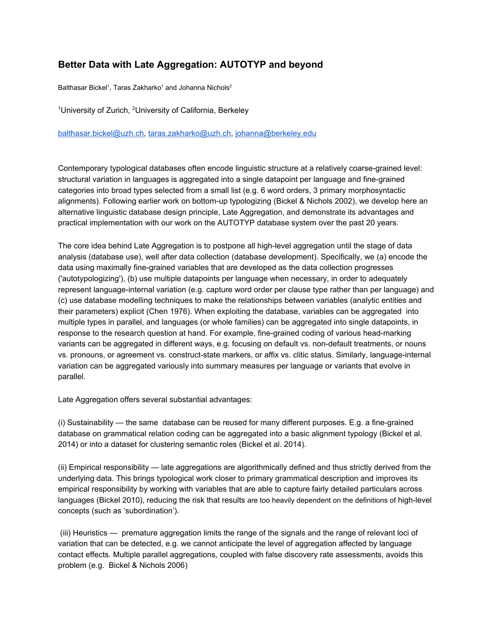## **Better Data with Late Aggregation: AUTOTYP and beyond**

Balthasar Bickel<sup>1</sup>, Taras Zakharko<sup>1</sup> and Johanna Nichols<sup>2</sup>

<sup>1</sup>University of Zurich, <sup>2</sup>University of California, Berkeley

[balthasar.bickel@uzh.ch,](mailto:balthasar.bickel@uzh.ch) [taras.zakharko@uzh.ch,](mailto:taras.zakharko@uzh.ch) [johanna@berkeley.edu](mailto:johanna@berkeley.edu)

Contemporary typological databases often encode linguistic structure at a relatively coarse-grained level: structural variation in languages is aggregated into a single datapoint per language and fine-grained categories into broad types selected from a small list (e.g. 6 word orders, 3 primary morphosyntactic alignments). Following earlier work on bottom-up typologizing (Bickel & Nichols 2002), we develop here an alternative linguistic database design principle, Late Aggregation, and demonstrate its advantages and practical implementation with our work on the AUTOTYP database system over the past 20 years.

The core idea behind Late Aggregation is to postpone all high-level aggregation until the stage of data analysis (database use), well after data collection (database development). Specifically, we (a) encode the data using maximally fine-grained variables that are developed as the data collection progresses ('autotypologizing'), (b) use multiple datapoints per language when necessary, in order to adequately represent language-internal variation (e.g. capture word order per clause type rather than per language) and (c) use database modelling techniques to make the relationships between variables (analytic entities and their parameters) explicit (Chen 1976). When exploiting the database, variables can be aggregated into multiple types in parallel, and languages (or whole families) can be aggregated into single datapoints, in response to the research question at hand. For example, fine-grained coding of various head-marking variants can be aggregated in different ways, e.g. focusing on default vs. non-default treatments, or nouns vs. pronouns, or agreement vs. construct-state markers, or affix vs. clitic status. Similarly, language-internal variation can be aggregated variously into summary measures per language or variants that evolve in parallel.

Late Aggregation offers several substantial advantages:

 $(i)$  Sustainability — the same database can be reused for many different purposes. E.g. a fine-grained database on grammatical relation coding can be aggregated into a basic alignment typology (Bickel et al. 2014) or into a dataset for clustering semantic roles (Bickel et al. 2014).

(ii) Empirical responsibility — late aggregations are algorithmically defined and thus strictly derived from the underlying data. This brings typological work closer to primary grammatical description and improves its empirical responsibility by working with variables that are able to capture fairly detailed particulars across languages (Bickel 2010), reducing the risk that results are too heavily dependent on the definitions of high-level concepts (such as 'subordination').

 (iii) Heuristics — premature aggregation limits the range of the signals and the range of relevant loci of variation that can be detected, e.g. we cannot anticipate the level of aggregation affected by language contact effects. Multiple parallel aggregations, coupled with false discovery rate assessments, avoids this problem (e.g. Bickel & Nichols 2006)